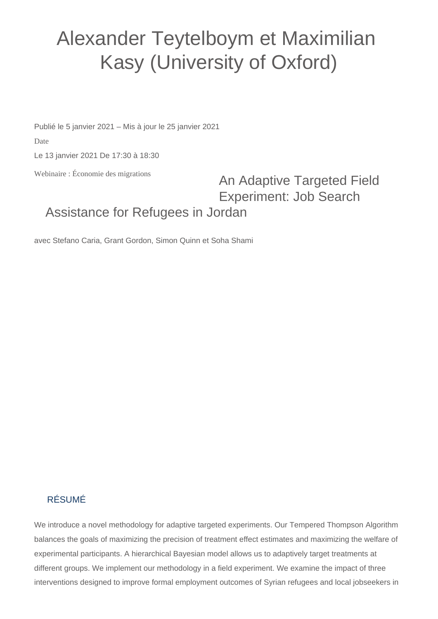## Alexander Teytelboym et Maximilian Kasy (University of Oxford)

Publié le 5 janvier 2021 – Mis à jour le 25 janvier 2021

Date

Le 13 janvier 2021 De 17:30 à 18:30

Webinaire : Économie des migrations

## An Adaptive Targeted Field Experiment: Job Search Assistance for Refugees in Jordan

avec Stefano Caria, Grant Gordon, Simon Quinn et Soha Shami

## RÉSUMÉ

We introduce a novel methodology for adaptive targeted experiments. Our Tempered Thompson Algorithm balances the goals of maximizing the precision of treatment effect estimates and maximizing the welfare of experimental participants. A hierarchical Bayesian model allows us to adaptively target treatments at different groups. We implement our methodology in a field experiment. We examine the impact of three interventions designed to improve formal employment outcomes of Syrian refugees and local jobseekers in